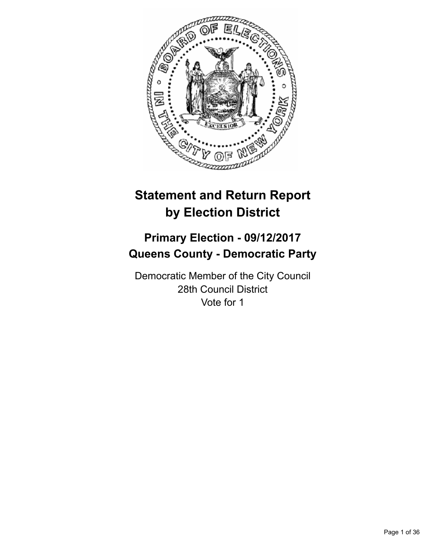

# **Statement and Return Report by Election District**

# **Primary Election - 09/12/2017 Queens County - Democratic Party**

Democratic Member of the City Council 28th Council District Vote for 1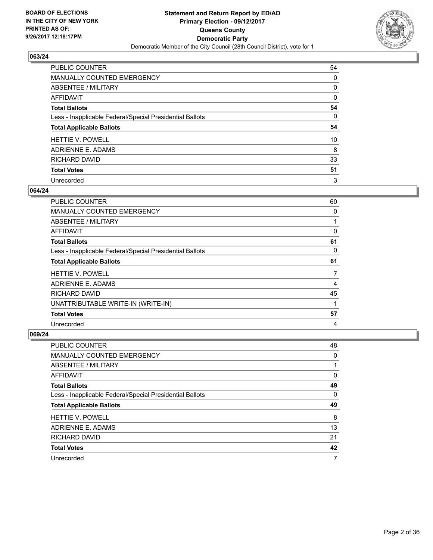

| PUBLIC COUNTER                                           | 54 |
|----------------------------------------------------------|----|
| <b>MANUALLY COUNTED EMERGENCY</b>                        | 0  |
| ABSENTEE / MILITARY                                      | 0  |
| <b>AFFIDAVIT</b>                                         | 0  |
| <b>Total Ballots</b>                                     | 54 |
| Less - Inapplicable Federal/Special Presidential Ballots | 0  |
| <b>Total Applicable Ballots</b>                          | 54 |
| <b>HETTIE V. POWELL</b>                                  | 10 |
| ADRIENNE E. ADAMS                                        | 8  |
| RICHARD DAVID                                            | 33 |
| <b>Total Votes</b>                                       | 51 |
| Unrecorded                                               | 3  |

# **064/24**

| <b>PUBLIC COUNTER</b>                                    | 60 |
|----------------------------------------------------------|----|
| <b>MANUALLY COUNTED EMERGENCY</b>                        | 0  |
| ABSENTEE / MILITARY                                      |    |
| AFFIDAVIT                                                | 0  |
| <b>Total Ballots</b>                                     | 61 |
| Less - Inapplicable Federal/Special Presidential Ballots | 0  |
| <b>Total Applicable Ballots</b>                          | 61 |
| <b>HETTIE V. POWELL</b>                                  | 7  |
| ADRIENNE E. ADAMS                                        | 4  |
| <b>RICHARD DAVID</b>                                     | 45 |
| UNATTRIBUTABLE WRITE-IN (WRITE-IN)                       |    |
| <b>Total Votes</b>                                       | 57 |
| Unrecorded                                               | 4  |

| <b>PUBLIC COUNTER</b>                                    | 48 |
|----------------------------------------------------------|----|
| <b>MANUALLY COUNTED EMERGENCY</b>                        | 0  |
| ABSENTEE / MILITARY                                      |    |
| AFFIDAVIT                                                | 0  |
| <b>Total Ballots</b>                                     | 49 |
| Less - Inapplicable Federal/Special Presidential Ballots | 0  |
|                                                          |    |
| <b>Total Applicable Ballots</b>                          | 49 |
| <b>HETTIE V. POWELL</b>                                  | 8  |
| ADRIENNE E. ADAMS                                        | 13 |
| RICHARD DAVID                                            | 21 |
| <b>Total Votes</b>                                       | 42 |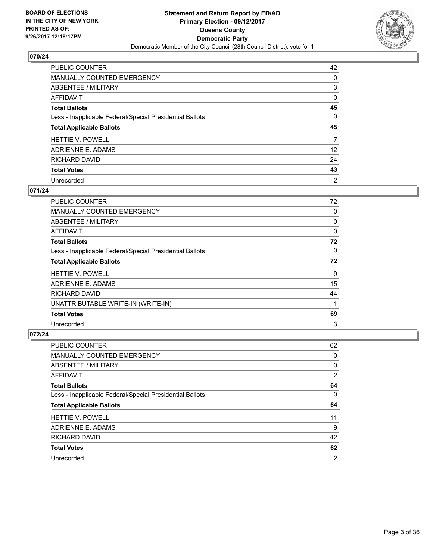

| PUBLIC COUNTER                                           | 42              |
|----------------------------------------------------------|-----------------|
| MANUALLY COUNTED EMERGENCY                               | 0               |
| <b>ABSENTEE / MILITARY</b>                               | 3               |
| AFFIDAVIT                                                | 0               |
| <b>Total Ballots</b>                                     | 45              |
| Less - Inapplicable Federal/Special Presidential Ballots | 0               |
| <b>Total Applicable Ballots</b>                          | 45              |
|                                                          |                 |
| <b>HETTIE V. POWELL</b>                                  | 7               |
| ADRIENNE E. ADAMS                                        | 12 <sup>°</sup> |
| RICHARD DAVID                                            | 24              |
| <b>Total Votes</b>                                       | 43              |

#### **071/24**

| <b>PUBLIC COUNTER</b>                                    | 72 |
|----------------------------------------------------------|----|
| <b>MANUALLY COUNTED EMERGENCY</b>                        | 0  |
| ABSENTEE / MILITARY                                      | 0  |
| AFFIDAVIT                                                | 0  |
| <b>Total Ballots</b>                                     | 72 |
| Less - Inapplicable Federal/Special Presidential Ballots | 0  |
| <b>Total Applicable Ballots</b>                          | 72 |
| <b>HETTIE V. POWELL</b>                                  | 9  |
| ADRIENNE E. ADAMS                                        | 15 |
| <b>RICHARD DAVID</b>                                     | 44 |
| UNATTRIBUTABLE WRITE-IN (WRITE-IN)                       | 1  |
| <b>Total Votes</b>                                       | 69 |
| Unrecorded                                               | 3  |

| <b>PUBLIC COUNTER</b>                                    | 62             |
|----------------------------------------------------------|----------------|
| <b>MANUALLY COUNTED EMERGENCY</b>                        | 0              |
| ABSENTEE / MILITARY                                      | 0              |
| AFFIDAVIT                                                | $\overline{2}$ |
| <b>Total Ballots</b>                                     | 64             |
| Less - Inapplicable Federal/Special Presidential Ballots | 0              |
| <b>Total Applicable Ballots</b>                          | 64             |
|                                                          |                |
| <b>HETTIE V. POWELL</b>                                  | 11             |
| ADRIENNE E. ADAMS                                        | 9              |
| RICHARD DAVID                                            | 42             |
| <b>Total Votes</b>                                       | 62             |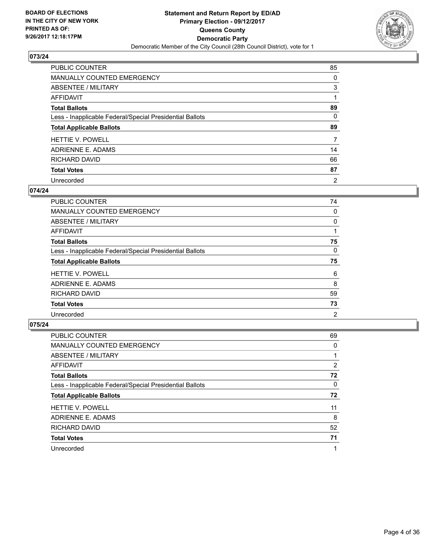

| PUBLIC COUNTER                                           | 85             |
|----------------------------------------------------------|----------------|
| MANUALLY COUNTED EMERGENCY                               | 0              |
| ABSENTEE / MILITARY                                      | 3              |
| <b>AFFIDAVIT</b>                                         |                |
| <b>Total Ballots</b>                                     | 89             |
| Less - Inapplicable Federal/Special Presidential Ballots | 0              |
| <b>Total Applicable Ballots</b>                          | 89             |
| <b>HETTIE V. POWELL</b>                                  | 7              |
| ADRIENNE E. ADAMS                                        | 14             |
| RICHARD DAVID                                            | 66             |
| <b>Total Votes</b>                                       | 87             |
| Unrecorded                                               | $\overline{2}$ |

#### **074/24**

| <b>PUBLIC COUNTER</b>                                    | 74             |
|----------------------------------------------------------|----------------|
| <b>MANUALLY COUNTED EMERGENCY</b>                        | 0              |
| ABSENTEE / MILITARY                                      | 0              |
| AFFIDAVIT                                                |                |
| <b>Total Ballots</b>                                     | 75             |
| Less - Inapplicable Federal/Special Presidential Ballots | 0              |
| <b>Total Applicable Ballots</b>                          | 75             |
| <b>HETTIE V. POWELL</b>                                  | 6              |
| ADRIENNE E. ADAMS                                        | 8              |
| RICHARD DAVID                                            | 59             |
| <b>Total Votes</b>                                       | 73             |
| Unrecorded                                               | $\overline{2}$ |

| <b>PUBLIC COUNTER</b>                                    | 69             |
|----------------------------------------------------------|----------------|
| <b>MANUALLY COUNTED EMERGENCY</b>                        | 0              |
| ABSENTEE / MILITARY                                      |                |
| AFFIDAVIT                                                | $\overline{2}$ |
| <b>Total Ballots</b>                                     | 72             |
| Less - Inapplicable Federal/Special Presidential Ballots | 0              |
| <b>Total Applicable Ballots</b>                          | 72             |
| <b>HETTIE V. POWELL</b>                                  | 11             |
| ADRIENNE E. ADAMS                                        | 8              |
| RICHARD DAVID                                            | 52             |
| <b>Total Votes</b>                                       | 71             |
| Unrecorded                                               |                |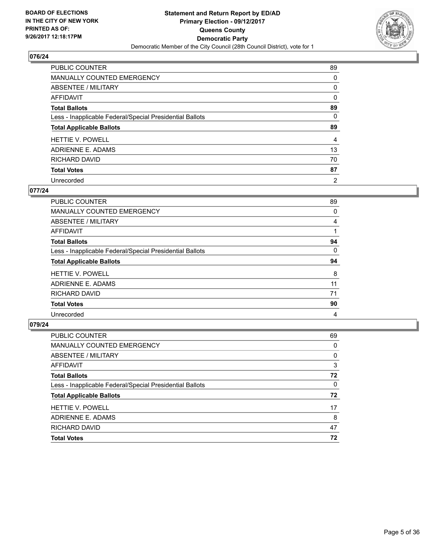

| PUBLIC COUNTER                                           | 89 |
|----------------------------------------------------------|----|
| <b>MANUALLY COUNTED EMERGENCY</b>                        | 0  |
| ABSENTEE / MILITARY                                      | 0  |
| AFFIDAVIT                                                | 0  |
| <b>Total Ballots</b>                                     | 89 |
| Less - Inapplicable Federal/Special Presidential Ballots | 0  |
| <b>Total Applicable Ballots</b>                          | 89 |
| <b>HETTIE V. POWELL</b>                                  | 4  |
|                                                          |    |
| ADRIENNE E. ADAMS                                        | 13 |
| RICHARD DAVID                                            | 70 |
| <b>Total Votes</b>                                       | 87 |

#### **077/24**

| <b>PUBLIC COUNTER</b>                                    | 89 |
|----------------------------------------------------------|----|
| <b>MANUALLY COUNTED EMERGENCY</b>                        | 0  |
| ABSENTEE / MILITARY                                      | 4  |
| AFFIDAVIT                                                |    |
| <b>Total Ballots</b>                                     | 94 |
| Less - Inapplicable Federal/Special Presidential Ballots | 0  |
| <b>Total Applicable Ballots</b>                          | 94 |
| <b>HETTIE V. POWELL</b>                                  | 8  |
| ADRIENNE E. ADAMS                                        | 11 |
| RICHARD DAVID                                            | 71 |
| <b>Total Votes</b>                                       | 90 |
| Unrecorded                                               | 4  |

| PUBLIC COUNTER                                           | 69 |
|----------------------------------------------------------|----|
| <b>MANUALLY COUNTED EMERGENCY</b>                        | 0  |
| ABSENTEE / MILITARY                                      | 0  |
| AFFIDAVIT                                                | 3  |
| <b>Total Ballots</b>                                     | 72 |
| Less - Inapplicable Federal/Special Presidential Ballots | 0  |
| <b>Total Applicable Ballots</b>                          | 72 |
| <b>HETTIE V. POWELL</b>                                  | 17 |
| ADRIENNE E. ADAMS                                        | 8  |
| RICHARD DAVID                                            | 47 |
| <b>Total Votes</b>                                       | 72 |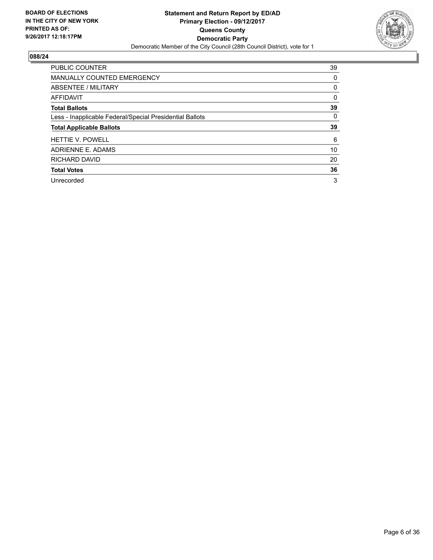

| <b>PUBLIC COUNTER</b>                                    | 39 |
|----------------------------------------------------------|----|
| <b>MANUALLY COUNTED EMERGENCY</b>                        | 0  |
| ABSENTEE / MILITARY                                      | 0  |
| AFFIDAVIT                                                | 0  |
| <b>Total Ballots</b>                                     | 39 |
| Less - Inapplicable Federal/Special Presidential Ballots | 0  |
|                                                          |    |
| <b>Total Applicable Ballots</b>                          | 39 |
| <b>HETTIE V. POWELL</b>                                  | 6  |
| ADRIENNE E. ADAMS                                        | 10 |
| RICHARD DAVID                                            | 20 |
| <b>Total Votes</b>                                       | 36 |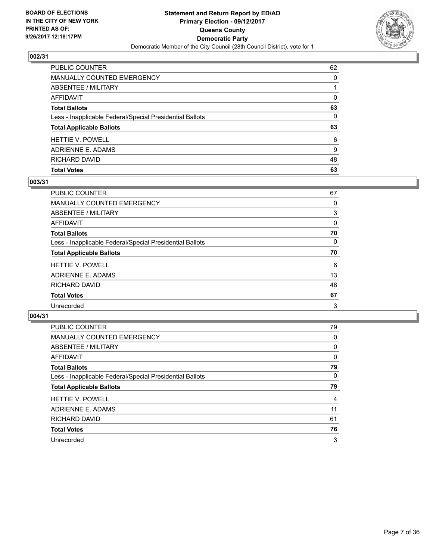

| PUBLIC COUNTER                                           | 62       |
|----------------------------------------------------------|----------|
| <b>MANUALLY COUNTED EMERGENCY</b>                        | 0        |
| <b>ABSENTEE / MILITARY</b>                               |          |
| <b>AFFIDAVIT</b>                                         | $\Omega$ |
| <b>Total Ballots</b>                                     | 63       |
| Less - Inapplicable Federal/Special Presidential Ballots | $\Omega$ |
| <b>Total Applicable Ballots</b>                          | 63       |
| <b>HETTIE V. POWELL</b>                                  | 6        |
| ADRIENNE E. ADAMS                                        | 9        |
| RICHARD DAVID                                            | 48       |
| <b>Total Votes</b>                                       | 63       |

## **003/31**

| PUBLIC COUNTER                                           | 67 |
|----------------------------------------------------------|----|
| <b>MANUALLY COUNTED EMERGENCY</b>                        | 0  |
| ABSENTEE / MILITARY                                      | 3  |
| <b>AFFIDAVIT</b>                                         | 0  |
| <b>Total Ballots</b>                                     | 70 |
| Less - Inapplicable Federal/Special Presidential Ballots | 0  |
| <b>Total Applicable Ballots</b>                          | 70 |
| <b>HETTIE V. POWELL</b>                                  | 6  |
| ADRIENNE E. ADAMS                                        | 13 |
| RICHARD DAVID                                            | 48 |
| <b>Total Votes</b>                                       | 67 |
| Unrecorded                                               | 3  |
|                                                          |    |

| <b>PUBLIC COUNTER</b>                                    | 79 |
|----------------------------------------------------------|----|
| <b>MANUALLY COUNTED EMERGENCY</b>                        | 0  |
| ABSENTEE / MILITARY                                      | 0  |
| <b>AFFIDAVIT</b>                                         | 0  |
| <b>Total Ballots</b>                                     | 79 |
| Less - Inapplicable Federal/Special Presidential Ballots | 0  |
| <b>Total Applicable Ballots</b>                          | 79 |
| <b>HETTIE V. POWELL</b>                                  | 4  |
| ADRIENNE E. ADAMS                                        | 11 |
| <b>RICHARD DAVID</b>                                     | 61 |
| <b>Total Votes</b>                                       | 76 |
| Unrecorded                                               | 3  |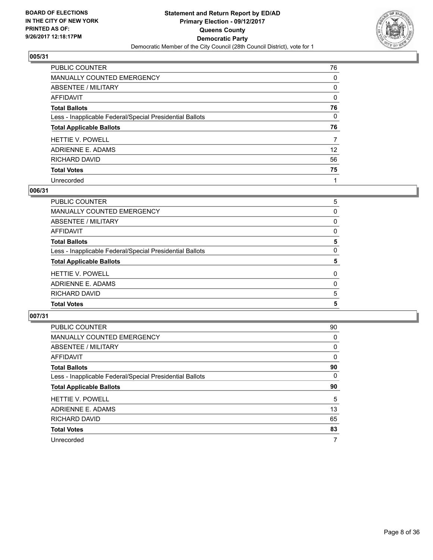

| PUBLIC COUNTER                                           | 76              |
|----------------------------------------------------------|-----------------|
| MANUALLY COUNTED EMERGENCY                               | 0               |
| ABSENTEE / MILITARY                                      | 0               |
| <b>AFFIDAVIT</b>                                         | 0               |
| <b>Total Ballots</b>                                     | 76              |
| Less - Inapplicable Federal/Special Presidential Ballots | 0               |
| <b>Total Applicable Ballots</b>                          | 76              |
| <b>HETTIE V. POWELL</b>                                  | 7               |
| ADRIENNE E. ADAMS                                        | 12 <sup>°</sup> |
| RICHARD DAVID                                            | 56              |
| <b>Total Votes</b>                                       | 75              |
| Unrecorded                                               |                 |

#### **006/31**

| <b>PUBLIC COUNTER</b>                                    | 5        |
|----------------------------------------------------------|----------|
| <b>MANUALLY COUNTED EMERGENCY</b>                        | 0        |
| <b>ABSENTEE / MILITARY</b>                               | 0        |
| <b>AFFIDAVIT</b>                                         | 0        |
| <b>Total Ballots</b>                                     | 5        |
| Less - Inapplicable Federal/Special Presidential Ballots | 0        |
| <b>Total Applicable Ballots</b>                          | 5        |
| <b>HETTIE V. POWELL</b>                                  | $\Omega$ |
| <b>ADRIENNE E. ADAMS</b>                                 | 0        |
| RICHARD DAVID                                            | 5        |
| <b>Total Votes</b>                                       | 5        |
|                                                          |          |

| <b>PUBLIC COUNTER</b>                                    | 90       |
|----------------------------------------------------------|----------|
| <b>MANUALLY COUNTED EMERGENCY</b>                        | 0        |
| ABSENTEE / MILITARY                                      | 0        |
| <b>AFFIDAVIT</b>                                         | $\Omega$ |
| <b>Total Ballots</b>                                     | 90       |
| Less - Inapplicable Federal/Special Presidential Ballots | 0        |
| <b>Total Applicable Ballots</b>                          | 90       |
| <b>HETTIE V. POWELL</b>                                  | 5        |
| ADRIENNE E. ADAMS                                        | 13       |
| RICHARD DAVID                                            | 65       |
|                                                          |          |
| <b>Total Votes</b>                                       | 83       |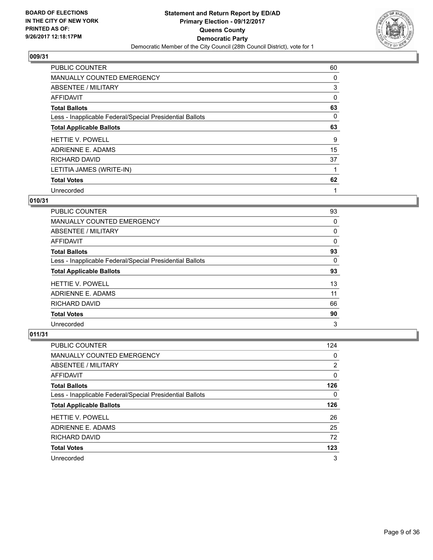

| <b>PUBLIC COUNTER</b>                                    | 60 |
|----------------------------------------------------------|----|
| MANUALLY COUNTED EMERGENCY                               | 0  |
| ABSENTEE / MILITARY                                      | 3  |
| <b>AFFIDAVIT</b>                                         | 0  |
| <b>Total Ballots</b>                                     | 63 |
| Less - Inapplicable Federal/Special Presidential Ballots | 0  |
| <b>Total Applicable Ballots</b>                          | 63 |
| <b>HETTIE V. POWELL</b>                                  | 9  |
| ADRIENNE E. ADAMS                                        | 15 |
| RICHARD DAVID                                            | 37 |
| LETITIA JAMES (WRITE-IN)                                 |    |
| <b>Total Votes</b>                                       | 62 |
| Unrecorded                                               | 1  |

## **010/31**

| <b>PUBLIC COUNTER</b>                                    | 93 |
|----------------------------------------------------------|----|
| <b>MANUALLY COUNTED EMERGENCY</b>                        | 0  |
| ABSENTEE / MILITARY                                      | 0  |
| <b>AFFIDAVIT</b>                                         | 0  |
| <b>Total Ballots</b>                                     | 93 |
| Less - Inapplicable Federal/Special Presidential Ballots | 0  |
|                                                          |    |
| <b>Total Applicable Ballots</b>                          | 93 |
| <b>HETTIE V. POWELL</b>                                  | 13 |
| ADRIENNE E. ADAMS                                        | 11 |
| RICHARD DAVID                                            | 66 |
| <b>Total Votes</b>                                       | 90 |

| <b>PUBLIC COUNTER</b>                                    | 124 |
|----------------------------------------------------------|-----|
| MANUALLY COUNTED EMERGENCY                               | 0   |
| ABSENTEE / MILITARY                                      | 2   |
| AFFIDAVIT                                                | 0   |
| <b>Total Ballots</b>                                     | 126 |
| Less - Inapplicable Federal/Special Presidential Ballots | 0   |
| <b>Total Applicable Ballots</b>                          | 126 |
| <b>HETTIE V. POWELL</b>                                  | 26  |
|                                                          |     |
| ADRIENNE E. ADAMS                                        | 25  |
| RICHARD DAVID                                            | 72  |
| <b>Total Votes</b>                                       | 123 |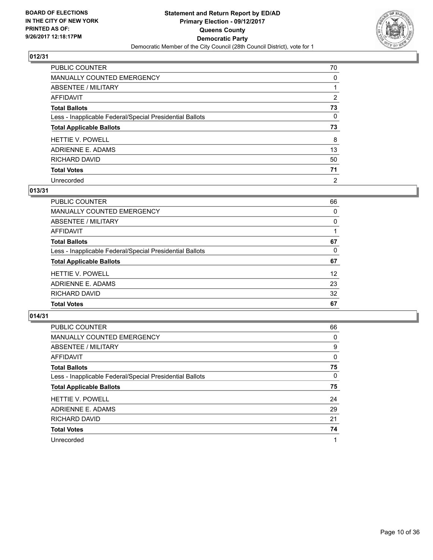

| PUBLIC COUNTER                                           | 70             |
|----------------------------------------------------------|----------------|
| MANUALLY COUNTED EMERGENCY                               | 0              |
| ABSENTEE / MILITARY                                      |                |
| AFFIDAVIT                                                | $\overline{2}$ |
| <b>Total Ballots</b>                                     | 73             |
| Less - Inapplicable Federal/Special Presidential Ballots | 0              |
| <b>Total Applicable Ballots</b>                          | 73             |
| <b>HETTIE V. POWELL</b>                                  | 8              |
| ADRIENNE E. ADAMS                                        | 13             |
| <b>RICHARD DAVID</b>                                     | 50             |
| <b>Total Votes</b>                                       | 71             |
| Unrecorded                                               | $\overline{2}$ |

# **013/31**

| PUBLIC COUNTER                                           | 66 |
|----------------------------------------------------------|----|
| <b>MANUALLY COUNTED EMERGENCY</b>                        | 0  |
| ABSENTEE / MILITARY                                      | 0  |
| AFFIDAVIT                                                |    |
| <b>Total Ballots</b>                                     | 67 |
| Less - Inapplicable Federal/Special Presidential Ballots | 0  |
| <b>Total Applicable Ballots</b>                          | 67 |
| <b>HETTIE V. POWELL</b>                                  | 12 |
| ADRIENNE E. ADAMS                                        | 23 |
| RICHARD DAVID                                            | 32 |
| <b>Total Votes</b>                                       | 67 |

| <b>PUBLIC COUNTER</b>                                    | 66       |
|----------------------------------------------------------|----------|
| <b>MANUALLY COUNTED EMERGENCY</b>                        | $\Omega$ |
| ABSENTEE / MILITARY                                      | 9        |
| <b>AFFIDAVIT</b>                                         | $\Omega$ |
| <b>Total Ballots</b>                                     | 75       |
| Less - Inapplicable Federal/Special Presidential Ballots | 0        |
| <b>Total Applicable Ballots</b>                          | 75       |
| <b>HETTIE V. POWELL</b>                                  | 24       |
| ADRIENNE E. ADAMS                                        | 29       |
| RICHARD DAVID                                            | 21       |
| <b>Total Votes</b>                                       | 74       |
| Unrecorded                                               | 1        |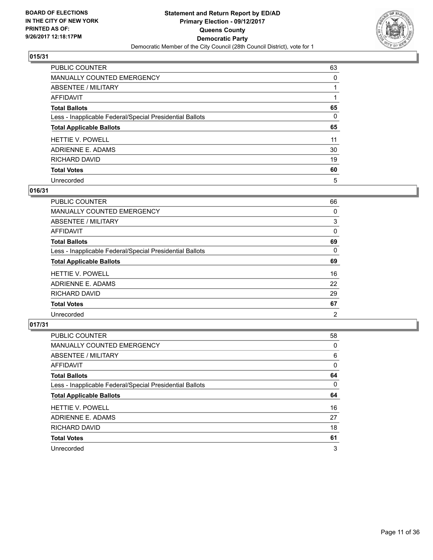

| <b>PUBLIC COUNTER</b>                                    | 63       |
|----------------------------------------------------------|----------|
| <b>MANUALLY COUNTED EMERGENCY</b>                        | 0        |
| ABSENTEE / MILITARY                                      |          |
| AFFIDAVIT                                                |          |
| <b>Total Ballots</b>                                     | 65       |
| Less - Inapplicable Federal/Special Presidential Ballots | $\Omega$ |
| <b>Total Applicable Ballots</b>                          | 65       |
| <b>HETTIE V. POWELL</b>                                  | 11       |
| ADRIENNE E. ADAMS                                        | 30       |
| <b>RICHARD DAVID</b>                                     | 19       |
| <b>Total Votes</b>                                       | 60       |
| Unrecorded                                               | 5        |

#### **016/31**

| <b>PUBLIC COUNTER</b>                                    | 66             |
|----------------------------------------------------------|----------------|
| <b>MANUALLY COUNTED EMERGENCY</b>                        | 0              |
| ABSENTEE / MILITARY                                      | 3              |
| AFFIDAVIT                                                | 0              |
| <b>Total Ballots</b>                                     | 69             |
| Less - Inapplicable Federal/Special Presidential Ballots | 0              |
| <b>Total Applicable Ballots</b>                          | 69             |
| <b>HETTIE V. POWELL</b>                                  | 16             |
| ADRIENNE E. ADAMS                                        | 22             |
| RICHARD DAVID                                            | 29             |
| <b>Total Votes</b>                                       | 67             |
| Unrecorded                                               | $\overline{2}$ |

| <b>PUBLIC COUNTER</b>                                    | 58 |
|----------------------------------------------------------|----|
| <b>MANUALLY COUNTED EMERGENCY</b>                        | 0  |
| ABSENTEE / MILITARY                                      | 6  |
| <b>AFFIDAVIT</b>                                         | 0  |
| <b>Total Ballots</b>                                     | 64 |
| Less - Inapplicable Federal/Special Presidential Ballots | 0  |
| <b>Total Applicable Ballots</b>                          | 64 |
| <b>HETTIE V. POWELL</b>                                  | 16 |
| ADRIENNE E. ADAMS                                        | 27 |
| RICHARD DAVID                                            | 18 |
| <b>Total Votes</b>                                       | 61 |
|                                                          |    |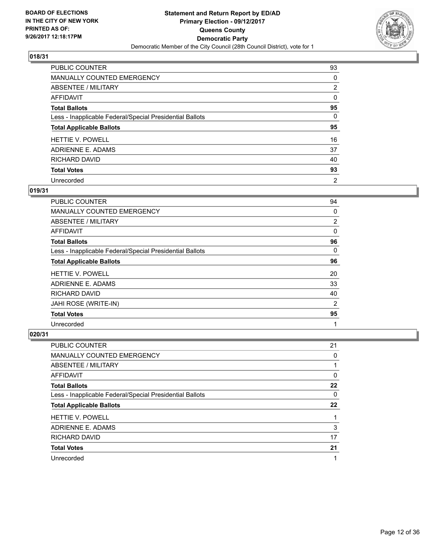

| <b>PUBLIC COUNTER</b>                                    | 93             |
|----------------------------------------------------------|----------------|
| MANUALLY COUNTED EMERGENCY                               | 0              |
| ABSENTEE / MILITARY                                      | $\overline{2}$ |
| <b>AFFIDAVIT</b>                                         | 0              |
| <b>Total Ballots</b>                                     | 95             |
| Less - Inapplicable Federal/Special Presidential Ballots | 0              |
| <b>Total Applicable Ballots</b>                          | 95             |
| <b>HETTIE V. POWELL</b>                                  | 16             |
| ADRIENNE E. ADAMS                                        | 37             |
| RICHARD DAVID                                            | 40             |
| <b>Total Votes</b>                                       | 93             |
| Unrecorded                                               | $\overline{2}$ |

#### **019/31**

| PUBLIC COUNTER                                           | 94             |
|----------------------------------------------------------|----------------|
| MANUALLY COUNTED EMERGENCY                               | 0              |
| ABSENTEE / MILITARY                                      | $\overline{2}$ |
| AFFIDAVIT                                                | 0              |
| <b>Total Ballots</b>                                     | 96             |
| Less - Inapplicable Federal/Special Presidential Ballots | 0              |
| <b>Total Applicable Ballots</b>                          | 96             |
| <b>HETTIE V. POWELL</b>                                  | 20             |
| ADRIENNE E. ADAMS                                        | 33             |
| <b>RICHARD DAVID</b>                                     | 40             |
| JAHI ROSE (WRITE-IN)                                     | $\overline{2}$ |
| <b>Total Votes</b>                                       | 95             |
| Unrecorded                                               | 1              |

| PUBLIC COUNTER                                           | 21 |
|----------------------------------------------------------|----|
| <b>MANUALLY COUNTED EMERGENCY</b>                        | 0  |
| ABSENTEE / MILITARY                                      |    |
| AFFIDAVIT                                                | 0  |
| <b>Total Ballots</b>                                     | 22 |
| Less - Inapplicable Federal/Special Presidential Ballots | 0  |
| <b>Total Applicable Ballots</b>                          | 22 |
| <b>HETTIE V. POWELL</b>                                  |    |
|                                                          |    |
| ADRIENNE E. ADAMS                                        | 3  |
| RICHARD DAVID                                            | 17 |
| <b>Total Votes</b>                                       | 21 |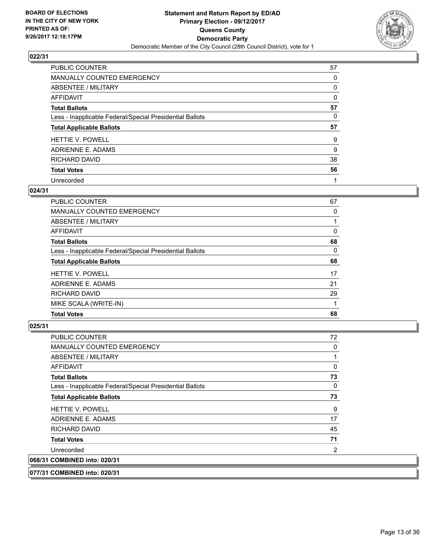

| <b>PUBLIC COUNTER</b>                                    | 57 |
|----------------------------------------------------------|----|
| MANUALLY COUNTED EMERGENCY                               | 0  |
| ABSENTEE / MILITARY                                      | 0  |
| AFFIDAVIT                                                | 0  |
| <b>Total Ballots</b>                                     | 57 |
| Less - Inapplicable Federal/Special Presidential Ballots | 0  |
| <b>Total Applicable Ballots</b>                          | 57 |
| <b>HETTIE V. POWELL</b>                                  | 9  |
| ADRIENNE E. ADAMS                                        | 9  |
| <b>RICHARD DAVID</b>                                     | 38 |
| <b>Total Votes</b>                                       | 56 |
|                                                          |    |

#### **024/31**

| <b>PUBLIC COUNTER</b>                                    | 67 |
|----------------------------------------------------------|----|
| <b>MANUALLY COUNTED EMERGENCY</b>                        | 0  |
| ABSENTEE / MILITARY                                      |    |
| AFFIDAVIT                                                | 0  |
| <b>Total Ballots</b>                                     | 68 |
| Less - Inapplicable Federal/Special Presidential Ballots | 0  |
| <b>Total Applicable Ballots</b>                          | 68 |
| <b>HETTIE V. POWELL</b>                                  | 17 |
| ADRIENNE E. ADAMS                                        | 21 |
| RICHARD DAVID                                            | 29 |
| MIKE SCALA (WRITE-IN)                                    |    |
| <b>Total Votes</b>                                       | 68 |

| <b>PUBLIC COUNTER</b>                                    | 72 |
|----------------------------------------------------------|----|
| <b>MANUALLY COUNTED EMERGENCY</b>                        | 0  |
| <b>ABSENTEE / MILITARY</b>                               |    |
| <b>AFFIDAVIT</b>                                         | 0  |
| Total Ballots                                            | 73 |
| Less - Inapplicable Federal/Special Presidential Ballots | 0  |
| <b>Total Applicable Ballots</b>                          | 73 |
| <b>HETTIE V. POWELL</b>                                  | 9  |
| ADRIENNE E. ADAMS                                        | 17 |
| RICHARD DAVID                                            | 45 |
| <b>Total Votes</b>                                       | 71 |
| Unrecorded                                               | 2  |
| 068/31 COMBINED into: 020/31                             |    |
| 077/31 COMBINED into: 020/31                             |    |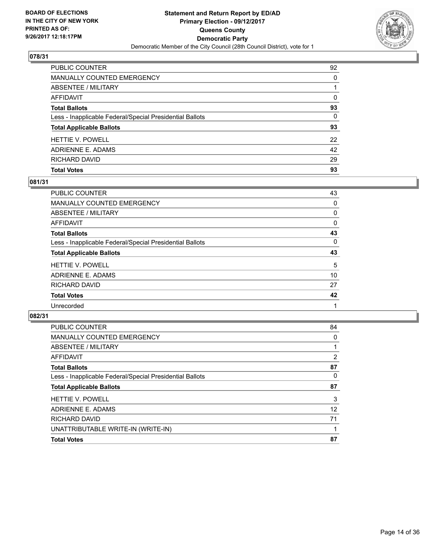

| <b>PUBLIC COUNTER</b>                                    | 92       |
|----------------------------------------------------------|----------|
| <b>MANUALLY COUNTED EMERGENCY</b>                        | 0        |
| <b>ABSENTEE / MILITARY</b>                               |          |
| AFFIDAVIT                                                | $\Omega$ |
| <b>Total Ballots</b>                                     | 93       |
| Less - Inapplicable Federal/Special Presidential Ballots | $\Omega$ |
| <b>Total Applicable Ballots</b>                          | 93       |
| <b>HETTIE V. POWELL</b>                                  | 22       |
| ADRIENNE E. ADAMS                                        | 42       |
| RICHARD DAVID                                            | 29       |
| <b>Total Votes</b>                                       | 93       |

## **081/31**

| PUBLIC COUNTER                                           | 43 |
|----------------------------------------------------------|----|
| <b>MANUALLY COUNTED EMERGENCY</b>                        | 0  |
| <b>ABSENTEE / MILITARY</b>                               | 0  |
| AFFIDAVIT                                                | 0  |
| <b>Total Ballots</b>                                     | 43 |
| Less - Inapplicable Federal/Special Presidential Ballots | 0  |
| <b>Total Applicable Ballots</b>                          | 43 |
| <b>HETTIE V. POWELL</b>                                  | 5  |
| ADRIENNE E. ADAMS                                        | 10 |
| RICHARD DAVID                                            | 27 |
| <b>Total Votes</b>                                       | 42 |
| Unrecorded                                               |    |
|                                                          |    |

| <b>PUBLIC COUNTER</b>                                    | 84             |
|----------------------------------------------------------|----------------|
| <b>MANUALLY COUNTED EMERGENCY</b>                        | 0              |
| ABSENTEE / MILITARY                                      |                |
| AFFIDAVIT                                                | $\overline{2}$ |
| <b>Total Ballots</b>                                     | 87             |
| Less - Inapplicable Federal/Special Presidential Ballots | 0              |
| <b>Total Applicable Ballots</b>                          | 87             |
| <b>HETTIE V. POWELL</b>                                  | 3              |
| ADRIENNE E. ADAMS                                        | 12             |
| RICHARD DAVID                                            | 71             |
| UNATTRIBUTABLE WRITE-IN (WRITE-IN)                       |                |
| <b>Total Votes</b>                                       | 87             |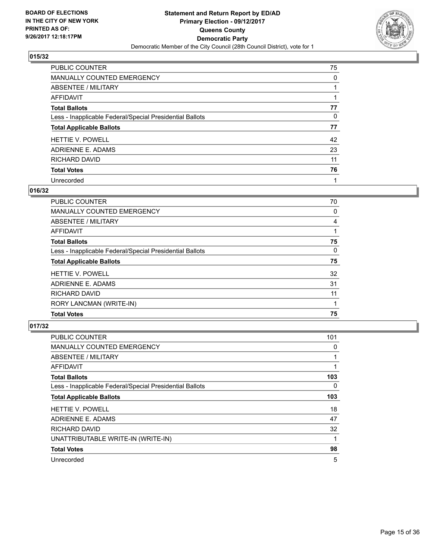

| <b>PUBLIC COUNTER</b>                                    | 75 |
|----------------------------------------------------------|----|
| MANUALLY COUNTED EMERGENCY                               | 0  |
| ABSENTEE / MILITARY                                      |    |
| <b>AFFIDAVIT</b>                                         |    |
| <b>Total Ballots</b>                                     | 77 |
| Less - Inapplicable Federal/Special Presidential Ballots | 0  |
| <b>Total Applicable Ballots</b>                          | 77 |
| <b>HETTIE V. POWELL</b>                                  | 42 |
| ADRIENNE E. ADAMS                                        | 23 |
| <b>RICHARD DAVID</b>                                     | 11 |
| <b>Total Votes</b>                                       | 76 |
| Unrecorded                                               |    |

# **016/32**

| <b>PUBLIC COUNTER</b>                                    | 70 |
|----------------------------------------------------------|----|
| <b>MANUALLY COUNTED EMERGENCY</b>                        | 0  |
| ABSENTEE / MILITARY                                      | 4  |
| AFFIDAVIT                                                |    |
| <b>Total Ballots</b>                                     | 75 |
| Less - Inapplicable Federal/Special Presidential Ballots | 0  |
| <b>Total Applicable Ballots</b>                          | 75 |
| <b>HETTIE V. POWELL</b>                                  | 32 |
| ADRIENNE E. ADAMS                                        | 31 |
| RICHARD DAVID                                            | 11 |
| RORY LANCMAN (WRITE-IN)                                  |    |
| <b>Total Votes</b>                                       | 75 |

| <b>PUBLIC COUNTER</b>                                    | 101 |
|----------------------------------------------------------|-----|
| MANUALLY COUNTED EMERGENCY                               | 0   |
| ABSENTEE / MILITARY                                      |     |
| AFFIDAVIT                                                |     |
| <b>Total Ballots</b>                                     | 103 |
| Less - Inapplicable Federal/Special Presidential Ballots | 0   |
| <b>Total Applicable Ballots</b>                          | 103 |
| <b>HETTIE V. POWELL</b>                                  | 18  |
| ADRIENNE E. ADAMS                                        | 47  |
| <b>RICHARD DAVID</b>                                     | 32  |
| UNATTRIBUTABLE WRITE-IN (WRITE-IN)                       |     |
| <b>Total Votes</b>                                       | 98  |
| Unrecorded                                               | 5   |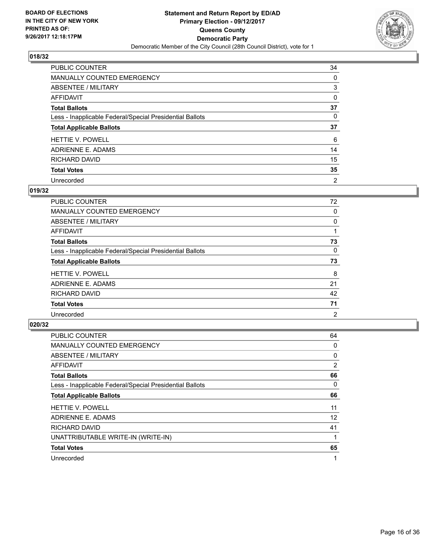

| <b>PUBLIC COUNTER</b>                                    | 34             |
|----------------------------------------------------------|----------------|
| <b>MANUALLY COUNTED EMERGENCY</b>                        | 0              |
| ABSENTEE / MILITARY                                      | 3              |
| AFFIDAVIT                                                | 0              |
| <b>Total Ballots</b>                                     | 37             |
| Less - Inapplicable Federal/Special Presidential Ballots | 0              |
| <b>Total Applicable Ballots</b>                          | 37             |
| <b>HETTIE V. POWELL</b>                                  | 6              |
| ADRIENNE E. ADAMS                                        | 14             |
| RICHARD DAVID                                            | 15             |
| <b>Total Votes</b>                                       | 35             |
| Unrecorded                                               | $\overline{2}$ |

# **019/32**

| <b>PUBLIC COUNTER</b>                                    | 72             |
|----------------------------------------------------------|----------------|
| <b>MANUALLY COUNTED EMERGENCY</b>                        | 0              |
| ABSENTEE / MILITARY                                      | 0              |
| <b>AFFIDAVIT</b>                                         |                |
| <b>Total Ballots</b>                                     | 73             |
| Less - Inapplicable Federal/Special Presidential Ballots | 0              |
| <b>Total Applicable Ballots</b>                          | 73             |
| <b>HETTIE V. POWELL</b>                                  | 8              |
| ADRIENNE E. ADAMS                                        | 21             |
| RICHARD DAVID                                            | 42             |
| <b>Total Votes</b>                                       | 71             |
| Unrecorded                                               | $\overline{2}$ |

| <b>PUBLIC COUNTER</b>                                    | 64 |
|----------------------------------------------------------|----|
| <b>MANUALLY COUNTED EMERGENCY</b>                        | 0  |
| ABSENTEE / MILITARY                                      | 0  |
| <b>AFFIDAVIT</b>                                         | 2  |
| <b>Total Ballots</b>                                     | 66 |
| Less - Inapplicable Federal/Special Presidential Ballots | 0  |
| <b>Total Applicable Ballots</b>                          | 66 |
| <b>HETTIE V. POWELL</b>                                  | 11 |
| ADRIENNE E. ADAMS                                        | 12 |
| <b>RICHARD DAVID</b>                                     | 41 |
| UNATTRIBUTABLE WRITE-IN (WRITE-IN)                       |    |
| <b>Total Votes</b>                                       | 65 |
| Unrecorded                                               | 1  |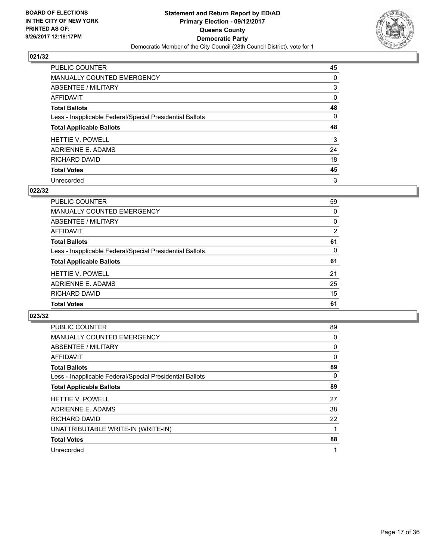

| PUBLIC COUNTER                                           | 45 |
|----------------------------------------------------------|----|
| <b>MANUALLY COUNTED EMERGENCY</b>                        | 0  |
| ABSENTEE / MILITARY                                      | 3  |
| AFFIDAVIT                                                | 0  |
| <b>Total Ballots</b>                                     | 48 |
| Less - Inapplicable Federal/Special Presidential Ballots | 0  |
| <b>Total Applicable Ballots</b>                          | 48 |
| <b>HETTIE V. POWELL</b>                                  | 3  |
| ADRIENNE E. ADAMS                                        | 24 |
| RICHARD DAVID                                            | 18 |
| <b>Total Votes</b>                                       | 45 |
| Unrecorded                                               | 3  |

#### **022/32**

| <b>PUBLIC COUNTER</b>                                    | 59             |
|----------------------------------------------------------|----------------|
| MANUALLY COUNTED EMERGENCY                               | 0              |
| ABSENTEE / MILITARY                                      | 0              |
| AFFIDAVIT                                                | $\overline{2}$ |
| <b>Total Ballots</b>                                     | 61             |
| Less - Inapplicable Federal/Special Presidential Ballots | 0              |
| <b>Total Applicable Ballots</b>                          | 61             |
| <b>HETTIE V. POWELL</b>                                  | 21             |
| ADRIENNE E. ADAMS                                        | 25             |
| RICHARD DAVID                                            | 15             |
| <b>Total Votes</b>                                       | 61             |
|                                                          |                |

| <b>PUBLIC COUNTER</b>                                    | 89 |
|----------------------------------------------------------|----|
| MANUALLY COUNTED EMERGENCY                               | 0  |
| ABSENTEE / MILITARY                                      | 0  |
| AFFIDAVIT                                                | 0  |
| <b>Total Ballots</b>                                     | 89 |
| Less - Inapplicable Federal/Special Presidential Ballots | 0  |
| <b>Total Applicable Ballots</b>                          | 89 |
| <b>HETTIE V. POWELL</b>                                  | 27 |
| ADRIENNE E. ADAMS                                        | 38 |
| RICHARD DAVID                                            | 22 |
| UNATTRIBUTABLE WRITE-IN (WRITE-IN)                       |    |
| <b>Total Votes</b>                                       | 88 |
| Unrecorded                                               | 1  |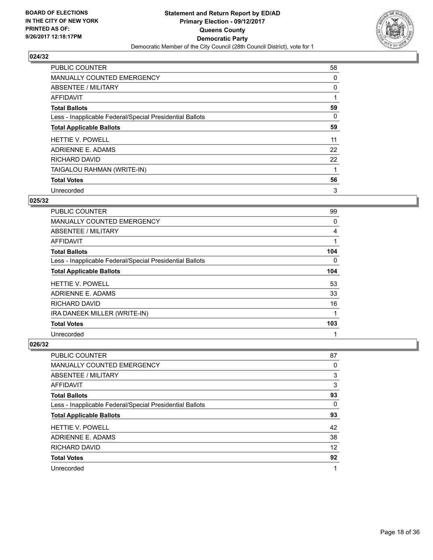

| <b>PUBLIC COUNTER</b>                                    | 58 |
|----------------------------------------------------------|----|
| MANUALLY COUNTED EMERGENCY                               | 0  |
| ABSENTEE / MILITARY                                      | 0  |
| <b>AFFIDAVIT</b>                                         |    |
| <b>Total Ballots</b>                                     | 59 |
| Less - Inapplicable Federal/Special Presidential Ballots | 0  |
| <b>Total Applicable Ballots</b>                          | 59 |
| <b>HETTIE V. POWELL</b>                                  | 11 |
| ADRIENNE E. ADAMS                                        | 22 |
| <b>RICHARD DAVID</b>                                     | 22 |
| TAIGALOU RAHMAN (WRITE-IN)                               | 1  |
| <b>Total Votes</b>                                       | 56 |
| Unrecorded                                               | 3  |

## **025/32**

| <b>PUBLIC COUNTER</b>                                    | 99       |
|----------------------------------------------------------|----------|
| <b>MANUALLY COUNTED EMERGENCY</b>                        | 0        |
| ABSENTEE / MILITARY                                      | 4        |
| AFFIDAVIT                                                |          |
| <b>Total Ballots</b>                                     | 104      |
| Less - Inapplicable Federal/Special Presidential Ballots | $\Omega$ |
| <b>Total Applicable Ballots</b>                          | 104      |
| <b>HETTIE V. POWELL</b>                                  | 53       |
| ADRIENNE E. ADAMS                                        | 33       |
| <b>RICHARD DAVID</b>                                     | 16       |
| IRA DANEEK MILLER (WRITE-IN)                             | 1        |
| <b>Total Votes</b>                                       | 103      |
| Unrecorded                                               | 1        |

| PUBLIC COUNTER                                           | 87 |
|----------------------------------------------------------|----|
| MANUALLY COUNTED EMERGENCY                               | 0  |
| ABSENTEE / MILITARY                                      | 3  |
| AFFIDAVIT                                                | 3  |
| <b>Total Ballots</b>                                     | 93 |
| Less - Inapplicable Federal/Special Presidential Ballots | 0  |
| <b>Total Applicable Ballots</b>                          | 93 |
| <b>HETTIE V. POWELL</b>                                  | 42 |
| ADRIENNE E. ADAMS                                        | 38 |
| RICHARD DAVID                                            | 12 |
| <b>Total Votes</b>                                       | 92 |
| Unrecorded                                               |    |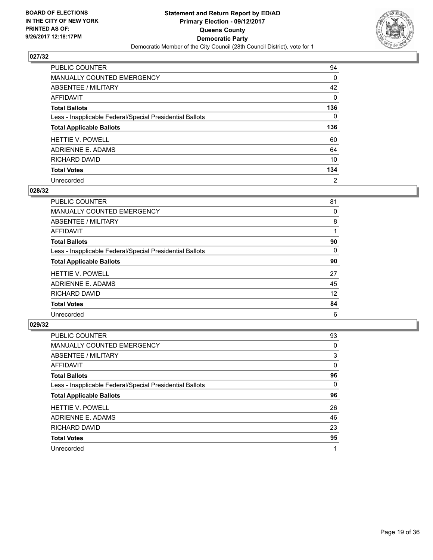

| <b>PUBLIC COUNTER</b>                                    | 94             |
|----------------------------------------------------------|----------------|
| <b>MANUALLY COUNTED EMERGENCY</b>                        | 0              |
| <b>ABSENTEE / MILITARY</b>                               | 42             |
| AFFIDAVIT                                                | 0              |
| <b>Total Ballots</b>                                     | 136            |
| Less - Inapplicable Federal/Special Presidential Ballots | 0              |
| <b>Total Applicable Ballots</b>                          | 136            |
| <b>HETTIE V. POWELL</b>                                  | 60             |
| ADRIENNE E. ADAMS                                        | 64             |
| RICHARD DAVID                                            | 10             |
| <b>Total Votes</b>                                       | 134            |
| Unrecorded                                               | $\overline{2}$ |

#### **028/32**

| <b>PUBLIC COUNTER</b>                                    | 81 |
|----------------------------------------------------------|----|
| MANUALLY COUNTED EMERGENCY                               | 0  |
| ABSENTEE / MILITARY                                      | 8  |
| <b>AFFIDAVIT</b>                                         |    |
| <b>Total Ballots</b>                                     | 90 |
| Less - Inapplicable Federal/Special Presidential Ballots | 0  |
| <b>Total Applicable Ballots</b>                          | 90 |
| <b>HETTIE V. POWELL</b>                                  | 27 |
| ADRIENNE E. ADAMS                                        | 45 |
| RICHARD DAVID                                            | 12 |
| <b>Total Votes</b>                                       | 84 |
| Unrecorded                                               | 6  |

| <b>PUBLIC COUNTER</b>                                    | 93 |
|----------------------------------------------------------|----|
| <b>MANUALLY COUNTED EMERGENCY</b>                        | 0  |
| ABSENTEE / MILITARY                                      | 3  |
| AFFIDAVIT                                                | 0  |
| <b>Total Ballots</b>                                     | 96 |
| Less - Inapplicable Federal/Special Presidential Ballots | 0  |
| <b>Total Applicable Ballots</b>                          | 96 |
| <b>HETTIE V. POWELL</b>                                  | 26 |
| ADRIENNE E. ADAMS                                        | 46 |
| RICHARD DAVID                                            | 23 |
| <b>Total Votes</b>                                       | 95 |
| Unrecorded                                               | 1  |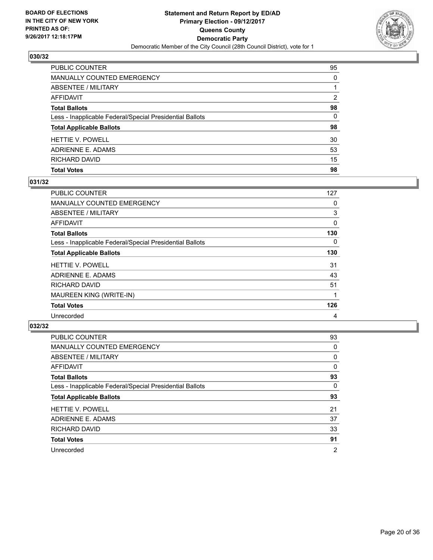

| <b>Total Votes</b>                                       | 98       |
|----------------------------------------------------------|----------|
| RICHARD DAVID                                            | 15       |
| ADRIENNE E. ADAMS                                        | 53       |
| HETTIE V. POWELL                                         | 30       |
| <b>Total Applicable Ballots</b>                          | 98       |
| Less - Inapplicable Federal/Special Presidential Ballots | $\Omega$ |
| <b>Total Ballots</b>                                     | 98       |
| <b>AFFIDAVIT</b>                                         | 2        |
| <b>ABSENTEE / MILITARY</b>                               |          |
| MANUALLY COUNTED EMERGENCY                               | $\Omega$ |
| PUBLIC COUNTER                                           | 95       |

## **031/32**

| PUBLIC COUNTER                                           | 127 |
|----------------------------------------------------------|-----|
| <b>MANUALLY COUNTED EMERGENCY</b>                        | 0   |
| ABSENTEE / MILITARY                                      | 3   |
| AFFIDAVIT                                                | 0   |
| <b>Total Ballots</b>                                     | 130 |
| Less - Inapplicable Federal/Special Presidential Ballots | 0   |
| <b>Total Applicable Ballots</b>                          | 130 |
| <b>HETTIE V. POWELL</b>                                  | 31  |
| ADRIENNE E. ADAMS                                        | 43  |
| <b>RICHARD DAVID</b>                                     | 51  |
| MAUREEN KING (WRITE-IN)                                  |     |
| <b>Total Votes</b>                                       | 126 |
| Unrecorded                                               | 4   |

| <b>PUBLIC COUNTER</b>                                    | 93             |
|----------------------------------------------------------|----------------|
| MANUALLY COUNTED EMERGENCY                               | 0              |
| ABSENTEE / MILITARY                                      | 0              |
| <b>AFFIDAVIT</b>                                         | $\Omega$       |
| <b>Total Ballots</b>                                     | 93             |
| Less - Inapplicable Federal/Special Presidential Ballots | 0              |
| <b>Total Applicable Ballots</b>                          | 93             |
| <b>HETTIE V. POWELL</b>                                  | 21             |
| ADRIENNE E. ADAMS                                        | 37             |
| RICHARD DAVID                                            | 33             |
| <b>Total Votes</b>                                       | 91             |
| Unrecorded                                               | $\overline{2}$ |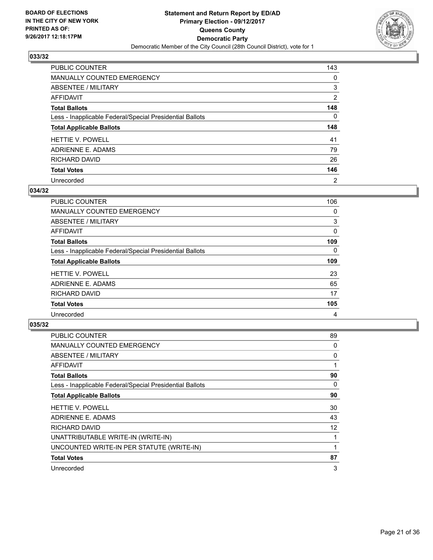

| <b>PUBLIC COUNTER</b>                                    | 143            |
|----------------------------------------------------------|----------------|
| <b>MANUALLY COUNTED EMERGENCY</b>                        | 0              |
| ABSENTEE / MILITARY                                      | 3              |
| AFFIDAVIT                                                | $\overline{2}$ |
| <b>Total Ballots</b>                                     | 148            |
| Less - Inapplicable Federal/Special Presidential Ballots | 0              |
| <b>Total Applicable Ballots</b>                          | 148            |
| <b>HETTIE V. POWELL</b>                                  | 41             |
| ADRIENNE E. ADAMS                                        | 79             |
| <b>RICHARD DAVID</b>                                     | 26             |
| <b>Total Votes</b>                                       | 146            |
| Unrecorded                                               | $\overline{2}$ |

#### **034/32**

| <b>PUBLIC COUNTER</b>                                    | 106 |
|----------------------------------------------------------|-----|
| <b>MANUALLY COUNTED EMERGENCY</b>                        | 0   |
| ABSENTEE / MILITARY                                      | 3   |
| AFFIDAVIT                                                | 0   |
| <b>Total Ballots</b>                                     | 109 |
| Less - Inapplicable Federal/Special Presidential Ballots | 0   |
| <b>Total Applicable Ballots</b>                          | 109 |
| <b>HETTIE V. POWELL</b>                                  | 23  |
| ADRIENNE E. ADAMS                                        | 65  |
| RICHARD DAVID                                            | 17  |
| <b>Total Votes</b>                                       | 105 |
| Unrecorded                                               | 4   |

| <b>PUBLIC COUNTER</b>                                    | 89 |
|----------------------------------------------------------|----|
| MANUALLY COUNTED EMERGENCY                               | 0  |
| ABSENTEE / MILITARY                                      | 0  |
| AFFIDAVIT                                                | 1  |
| <b>Total Ballots</b>                                     | 90 |
| Less - Inapplicable Federal/Special Presidential Ballots | 0  |
| <b>Total Applicable Ballots</b>                          | 90 |
| <b>HETTIE V. POWELL</b>                                  | 30 |
| ADRIENNE E. ADAMS                                        | 43 |
| RICHARD DAVID                                            | 12 |
| UNATTRIBUTABLE WRITE-IN (WRITE-IN)                       | 1  |
| UNCOUNTED WRITE-IN PER STATUTE (WRITE-IN)                | 1  |
| <b>Total Votes</b>                                       | 87 |
| Unrecorded                                               | 3  |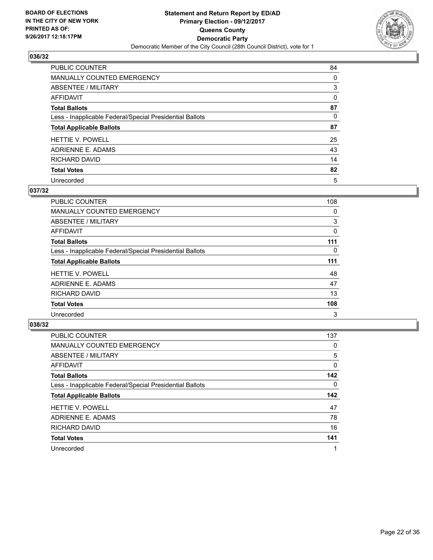

| <b>PUBLIC COUNTER</b>                                    | 84 |
|----------------------------------------------------------|----|
| MANUALLY COUNTED EMERGENCY                               | 0  |
| ABSENTEE / MILITARY                                      | 3  |
| AFFIDAVIT                                                | 0  |
| <b>Total Ballots</b>                                     | 87 |
| Less - Inapplicable Federal/Special Presidential Ballots | 0  |
| <b>Total Applicable Ballots</b>                          | 87 |
| <b>HETTIE V. POWELL</b>                                  | 25 |
| ADRIENNE E. ADAMS                                        | 43 |
| <b>RICHARD DAVID</b>                                     | 14 |
| <b>Total Votes</b>                                       | 82 |
| Unrecorded                                               | 5  |

#### **037/32**

| <b>PUBLIC COUNTER</b>                                    | 108 |
|----------------------------------------------------------|-----|
| <b>MANUALLY COUNTED EMERGENCY</b>                        | 0   |
| ABSENTEE / MILITARY                                      | 3   |
| AFFIDAVIT                                                | 0   |
| <b>Total Ballots</b>                                     | 111 |
| Less - Inapplicable Federal/Special Presidential Ballots | 0   |
| <b>Total Applicable Ballots</b>                          | 111 |
| <b>HETTIE V. POWELL</b>                                  | 48  |
| ADRIENNE E. ADAMS                                        | 47  |
| RICHARD DAVID                                            | 13  |
| <b>Total Votes</b>                                       | 108 |
| Unrecorded                                               | 3   |

| <b>PUBLIC COUNTER</b>                                    | 137       |
|----------------------------------------------------------|-----------|
| MANUALLY COUNTED EMERGENCY                               | 0         |
| ABSENTEE / MILITARY                                      | 5         |
| <b>AFFIDAVIT</b>                                         | 0         |
| <b>Total Ballots</b>                                     | 142       |
| Less - Inapplicable Federal/Special Presidential Ballots | 0         |
|                                                          |           |
| <b>Total Applicable Ballots</b>                          |           |
| <b>HETTIE V. POWELL</b>                                  | 142<br>47 |
| ADRIENNE E. ADAMS                                        | 78        |
| RICHARD DAVID                                            | 16        |
| <b>Total Votes</b>                                       | 141       |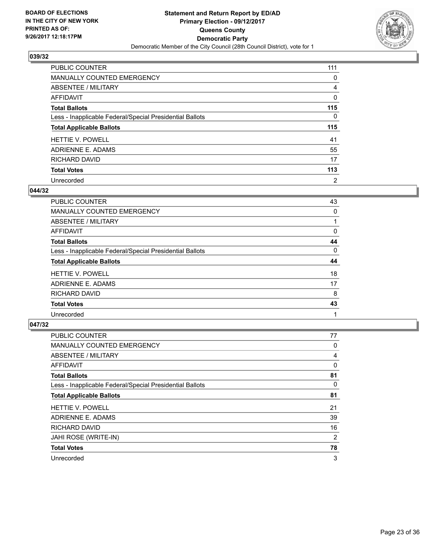

| PUBLIC COUNTER                                           | 111            |
|----------------------------------------------------------|----------------|
| <b>MANUALLY COUNTED EMERGENCY</b>                        | 0              |
| ABSENTEE / MILITARY                                      | 4              |
| AFFIDAVIT                                                | 0              |
| <b>Total Ballots</b>                                     | 115            |
| Less - Inapplicable Federal/Special Presidential Ballots | 0              |
| <b>Total Applicable Ballots</b>                          | 115            |
| <b>HETTIE V. POWELL</b>                                  | 41             |
| ADRIENNE E. ADAMS                                        | 55             |
| RICHARD DAVID                                            | 17             |
| <b>Total Votes</b>                                       | 113            |
| Unrecorded                                               | $\overline{2}$ |

# **044/32**

| <b>PUBLIC COUNTER</b>                                    | 43 |
|----------------------------------------------------------|----|
| <b>MANUALLY COUNTED EMERGENCY</b>                        | 0  |
| ABSENTEE / MILITARY                                      |    |
| AFFIDAVIT                                                | 0  |
| <b>Total Ballots</b>                                     | 44 |
| Less - Inapplicable Federal/Special Presidential Ballots | 0  |
| <b>Total Applicable Ballots</b>                          | 44 |
| <b>HETTIE V. POWELL</b>                                  | 18 |
| ADRIENNE E. ADAMS                                        | 17 |
| RICHARD DAVID                                            | 8  |
| <b>Total Votes</b>                                       | 43 |
| Unrecorded                                               |    |

| <b>PUBLIC COUNTER</b>                                    | 77 |
|----------------------------------------------------------|----|
| <b>MANUALLY COUNTED EMERGENCY</b>                        | 0  |
| ABSENTEE / MILITARY                                      | 4  |
| AFFIDAVIT                                                | 0  |
| <b>Total Ballots</b>                                     | 81 |
| Less - Inapplicable Federal/Special Presidential Ballots | 0  |
| <b>Total Applicable Ballots</b>                          | 81 |
| <b>HETTIE V. POWELL</b>                                  | 21 |
| ADRIENNE E. ADAMS                                        | 39 |
| RICHARD DAVID                                            | 16 |
| JAHI ROSE (WRITE-IN)                                     | 2  |
| <b>Total Votes</b>                                       | 78 |
| Unrecorded                                               | 3  |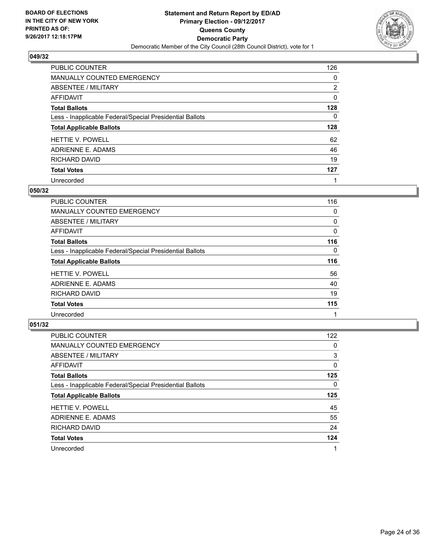

| <b>PUBLIC COUNTER</b>                                    | 126            |
|----------------------------------------------------------|----------------|
| <b>MANUALLY COUNTED EMERGENCY</b>                        | 0              |
| ABSENTEE / MILITARY                                      | $\overline{2}$ |
| AFFIDAVIT                                                | 0              |
| <b>Total Ballots</b>                                     | 128            |
| Less - Inapplicable Federal/Special Presidential Ballots | 0              |
|                                                          |                |
| <b>Total Applicable Ballots</b>                          | 128            |
| <b>HETTIE V. POWELL</b>                                  | 62             |
| ADRIENNE E. ADAMS                                        | 46             |
| RICHARD DAVID                                            | 19             |
| <b>Total Votes</b>                                       | 127            |

#### **050/32**

| <b>PUBLIC COUNTER</b>                                    | 116 |
|----------------------------------------------------------|-----|
| <b>MANUALLY COUNTED EMERGENCY</b>                        | 0   |
| ABSENTEE / MILITARY                                      | 0   |
| AFFIDAVIT                                                | 0   |
| <b>Total Ballots</b>                                     | 116 |
| Less - Inapplicable Federal/Special Presidential Ballots | 0   |
| <b>Total Applicable Ballots</b>                          | 116 |
| <b>HETTIE V. POWELL</b>                                  | 56  |
| ADRIENNE E. ADAMS                                        | 40  |
| RICHARD DAVID                                            | 19  |
| <b>Total Votes</b>                                       | 115 |
| Unrecorded                                               |     |

| <b>PUBLIC COUNTER</b>                                    | 122 |
|----------------------------------------------------------|-----|
| MANUALLY COUNTED EMERGENCY                               | 0   |
| ABSENTEE / MILITARY                                      | 3   |
| <b>AFFIDAVIT</b>                                         | 0   |
| <b>Total Ballots</b>                                     | 125 |
| Less - Inapplicable Federal/Special Presidential Ballots | 0   |
|                                                          |     |
| <b>Total Applicable Ballots</b>                          | 125 |
| <b>HETTIE V. POWELL</b>                                  | 45  |
| ADRIENNE E. ADAMS                                        | 55  |
| RICHARD DAVID                                            | 24  |
| <b>Total Votes</b>                                       | 124 |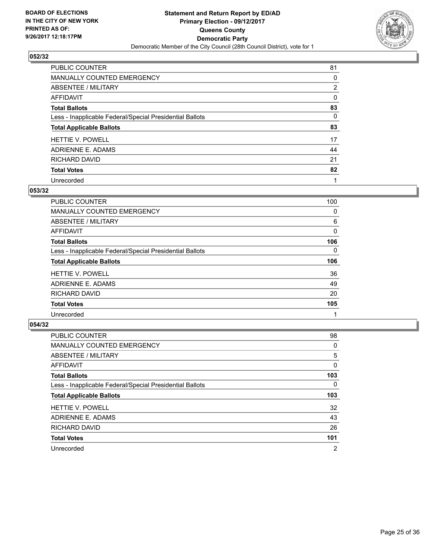

| <b>PUBLIC COUNTER</b>                                    | 81             |
|----------------------------------------------------------|----------------|
| MANUALLY COUNTED EMERGENCY                               | 0              |
| <b>ABSENTEE / MILITARY</b>                               | $\overline{2}$ |
| AFFIDAVIT                                                | 0              |
| <b>Total Ballots</b>                                     | 83             |
| Less - Inapplicable Federal/Special Presidential Ballots | 0              |
| <b>Total Applicable Ballots</b>                          | 83             |
| <b>HETTIE V. POWELL</b>                                  | 17             |
| ADRIENNE E. ADAMS                                        | 44             |
| RICHARD DAVID                                            | 21             |
| <b>Total Votes</b>                                       | 82             |
| Unrecorded                                               |                |

#### **053/32**

| <b>PUBLIC COUNTER</b>                                    | 100 |
|----------------------------------------------------------|-----|
| MANUALLY COUNTED EMERGENCY                               | 0   |
| ABSENTEE / MILITARY                                      | 6   |
| <b>AFFIDAVIT</b>                                         | 0   |
| <b>Total Ballots</b>                                     | 106 |
| Less - Inapplicable Federal/Special Presidential Ballots | 0   |
| <b>Total Applicable Ballots</b>                          | 106 |
| <b>HETTIE V. POWELL</b>                                  | 36  |
| ADRIENNE E. ADAMS                                        | 49  |
| <b>RICHARD DAVID</b>                                     | 20  |
| <b>Total Votes</b>                                       | 105 |
| Unrecorded                                               |     |

| <b>PUBLIC COUNTER</b>                                    | 98  |
|----------------------------------------------------------|-----|
| <b>MANUALLY COUNTED EMERGENCY</b>                        | 0   |
| ABSENTEE / MILITARY                                      | 5   |
| AFFIDAVIT                                                | 0   |
| <b>Total Ballots</b>                                     | 103 |
| Less - Inapplicable Federal/Special Presidential Ballots | 0   |
| <b>Total Applicable Ballots</b>                          | 103 |
| <b>HETTIE V. POWELL</b>                                  | 32  |
| ADRIENNE E. ADAMS                                        | 43  |
| RICHARD DAVID                                            | 26  |
|                                                          |     |
| <b>Total Votes</b>                                       | 101 |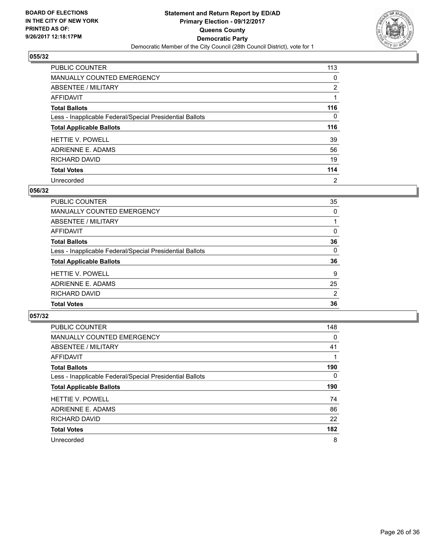

| PUBLIC COUNTER                                           | 113            |
|----------------------------------------------------------|----------------|
| <b>MANUALLY COUNTED EMERGENCY</b>                        | 0              |
| ABSENTEE / MILITARY                                      | $\overline{2}$ |
| AFFIDAVIT                                                |                |
| <b>Total Ballots</b>                                     | 116            |
| Less - Inapplicable Federal/Special Presidential Ballots | 0              |
| <b>Total Applicable Ballots</b>                          | 116            |
| <b>HETTIE V. POWELL</b>                                  | 39             |
| ADRIENNE E. ADAMS                                        | 56             |
| RICHARD DAVID                                            | 19             |
| <b>Total Votes</b>                                       | 114            |
| Unrecorded                                               | $\overline{2}$ |

#### **056/32**

| <b>PUBLIC COUNTER</b>                                    | 35             |
|----------------------------------------------------------|----------------|
| MANUALLY COUNTED EMERGENCY                               | 0              |
| ABSENTEE / MILITARY                                      |                |
| AFFIDAVIT                                                | 0              |
| <b>Total Ballots</b>                                     | 36             |
| Less - Inapplicable Federal/Special Presidential Ballots | 0              |
| <b>Total Applicable Ballots</b>                          | 36             |
| <b>HETTIE V. POWELL</b>                                  | 9              |
| ADRIENNE E. ADAMS                                        | 25             |
| RICHARD DAVID                                            | $\overline{2}$ |
| <b>Total Votes</b>                                       | 36             |

| <b>PUBLIC COUNTER</b>                                    | 148      |
|----------------------------------------------------------|----------|
| <b>MANUALLY COUNTED EMERGENCY</b>                        | $\Omega$ |
| ABSENTEE / MILITARY                                      | 41       |
| <b>AFFIDAVIT</b>                                         |          |
| <b>Total Ballots</b>                                     | 190      |
| Less - Inapplicable Federal/Special Presidential Ballots | $\Omega$ |
| <b>Total Applicable Ballots</b>                          | 190      |
| <b>HETTIE V. POWELL</b>                                  | 74       |
| ADRIENNE E. ADAMS                                        | 86       |
| RICHARD DAVID                                            | 22       |
| <b>Total Votes</b>                                       | 182      |
| Unrecorded                                               | 8        |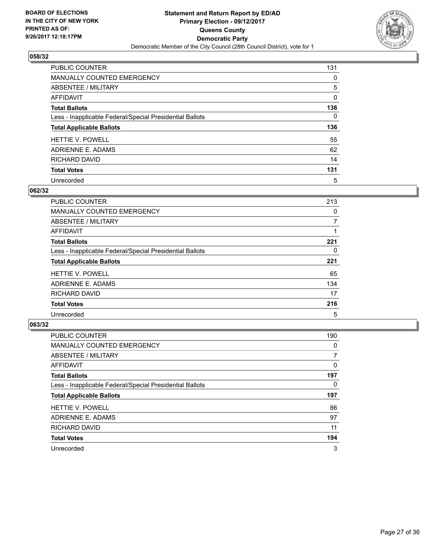

| PUBLIC COUNTER                                           | 131 |
|----------------------------------------------------------|-----|
| <b>MANUALLY COUNTED EMERGENCY</b>                        | 0   |
| ABSENTEE / MILITARY                                      | 5   |
| AFFIDAVIT                                                | 0   |
| <b>Total Ballots</b>                                     | 136 |
| Less - Inapplicable Federal/Special Presidential Ballots | 0   |
| <b>Total Applicable Ballots</b>                          | 136 |
| <b>HETTIE V. POWELL</b>                                  | 55  |
| ADRIENNE E. ADAMS                                        | 62  |
| RICHARD DAVID                                            | 14  |
| <b>Total Votes</b>                                       | 131 |
| Unrecorded                                               | 5   |

#### **062/32**

| <b>PUBLIC COUNTER</b>                                    | 213 |
|----------------------------------------------------------|-----|
| <b>MANUALLY COUNTED EMERGENCY</b>                        | 0   |
| ABSENTEE / MILITARY                                      | 7   |
| <b>AFFIDAVIT</b>                                         |     |
| <b>Total Ballots</b>                                     | 221 |
| Less - Inapplicable Federal/Special Presidential Ballots | 0   |
| <b>Total Applicable Ballots</b>                          | 221 |
| <b>HETTIE V. POWELL</b>                                  | 65  |
| ADRIENNE E. ADAMS                                        | 134 |
| RICHARD DAVID                                            | 17  |
| <b>Total Votes</b>                                       | 216 |
| Unrecorded                                               | 5   |

| <b>PUBLIC COUNTER</b>                                    | 190 |
|----------------------------------------------------------|-----|
| <b>MANUALLY COUNTED EMERGENCY</b>                        | 0   |
| ABSENTEE / MILITARY                                      |     |
| AFFIDAVIT                                                | 0   |
| <b>Total Ballots</b>                                     | 197 |
| Less - Inapplicable Federal/Special Presidential Ballots | 0   |
| <b>Total Applicable Ballots</b>                          | 197 |
| <b>HETTIE V. POWELL</b>                                  | 86  |
| ADRIENNE E. ADAMS                                        | 97  |
| RICHARD DAVID                                            | 11  |
| <b>Total Votes</b>                                       | 194 |
| Unrecorded                                               | 3   |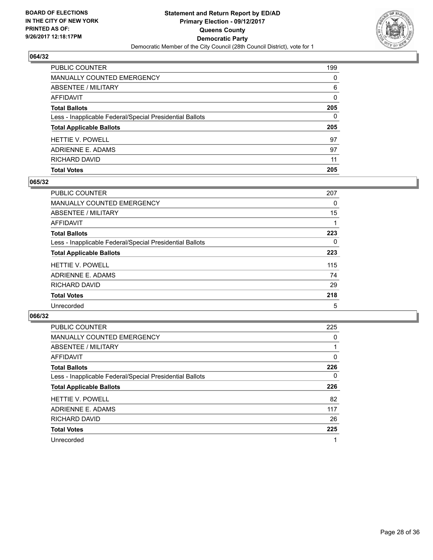

| <b>Total Votes</b>                                       | 205      |
|----------------------------------------------------------|----------|
| <b>RICHARD DAVID</b>                                     | 11       |
| ADRIENNE E. ADAMS                                        | 97       |
| <b>HETTIE V. POWELL</b>                                  | 97       |
| <b>Total Applicable Ballots</b>                          | 205      |
| Less - Inapplicable Federal/Special Presidential Ballots | 0        |
| <b>Total Ballots</b>                                     | 205      |
| <b>AFFIDAVIT</b>                                         | $\Omega$ |
| ABSENTEE / MILITARY                                      | 6        |
| MANUALLY COUNTED EMERGENCY                               | $\Omega$ |
| PUBLIC COUNTER                                           | 199      |

## **065/32**

| PUBLIC COUNTER                                           | 207 |
|----------------------------------------------------------|-----|
| <b>MANUALLY COUNTED EMERGENCY</b>                        | 0   |
| ABSENTEE / MILITARY                                      | 15  |
| AFFIDAVIT                                                |     |
| <b>Total Ballots</b>                                     | 223 |
| Less - Inapplicable Federal/Special Presidential Ballots | 0   |
| <b>Total Applicable Ballots</b>                          | 223 |
| <b>HETTIE V. POWELL</b>                                  | 115 |
| ADRIENNE E. ADAMS                                        | 74  |
| RICHARD DAVID                                            | 29  |
| <b>Total Votes</b>                                       | 218 |
| Unrecorded                                               | 5   |

| <b>PUBLIC COUNTER</b>                                    | 225      |
|----------------------------------------------------------|----------|
| <b>MANUALLY COUNTED EMERGENCY</b>                        | 0        |
| ABSENTEE / MILITARY                                      |          |
| <b>AFFIDAVIT</b>                                         | $\Omega$ |
| <b>Total Ballots</b>                                     | 226      |
| Less - Inapplicable Federal/Special Presidential Ballots | 0        |
| <b>Total Applicable Ballots</b>                          | 226      |
| <b>HETTIE V. POWELL</b>                                  | 82       |
| ADRIENNE E. ADAMS                                        | 117      |
| <b>RICHARD DAVID</b>                                     | 26       |
| <b>Total Votes</b>                                       | 225      |
| Unrecorded                                               | 1        |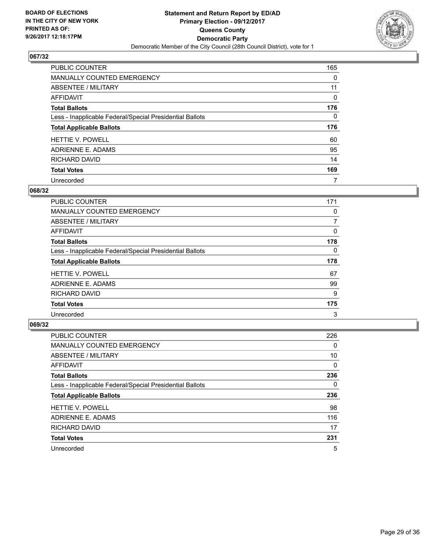

| PUBLIC COUNTER                                           | 165 |
|----------------------------------------------------------|-----|
| <b>MANUALLY COUNTED EMERGENCY</b>                        | 0   |
| ABSENTEE / MILITARY                                      | 11  |
| AFFIDAVIT                                                | 0   |
| <b>Total Ballots</b>                                     | 176 |
| Less - Inapplicable Federal/Special Presidential Ballots | 0   |
| <b>Total Applicable Ballots</b>                          | 176 |
| <b>HETTIE V. POWELL</b>                                  | 60  |
| ADRIENNE E. ADAMS                                        | 95  |
| RICHARD DAVID                                            | 14  |
| <b>Total Votes</b>                                       | 169 |
| Unrecorded                                               | 7   |

#### **068/32**

| <b>PUBLIC COUNTER</b>                                    | 171 |
|----------------------------------------------------------|-----|
| MANUALLY COUNTED EMERGENCY                               | 0   |
| ABSENTEE / MILITARY                                      | 7   |
| AFFIDAVIT                                                | 0   |
| <b>Total Ballots</b>                                     | 178 |
| Less - Inapplicable Federal/Special Presidential Ballots | 0   |
| <b>Total Applicable Ballots</b>                          | 178 |
| <b>HETTIE V. POWELL</b>                                  | 67  |
| ADRIENNE E. ADAMS                                        | 99  |
| RICHARD DAVID                                            | 9   |
| <b>Total Votes</b>                                       | 175 |
| Unrecorded                                               | 3   |

| <b>PUBLIC COUNTER</b>                                    | 226 |
|----------------------------------------------------------|-----|
| <b>MANUALLY COUNTED EMERGENCY</b>                        | 0   |
| ABSENTEE / MILITARY                                      | 10  |
| AFFIDAVIT                                                | 0   |
| <b>Total Ballots</b>                                     | 236 |
| Less - Inapplicable Federal/Special Presidential Ballots | 0   |
| <b>Total Applicable Ballots</b>                          | 236 |
| <b>HETTIE V. POWELL</b>                                  | 98  |
| ADRIENNE E. ADAMS                                        | 116 |
| RICHARD DAVID                                            | 17  |
| <b>Total Votes</b>                                       | 231 |
| Unrecorded                                               | 5   |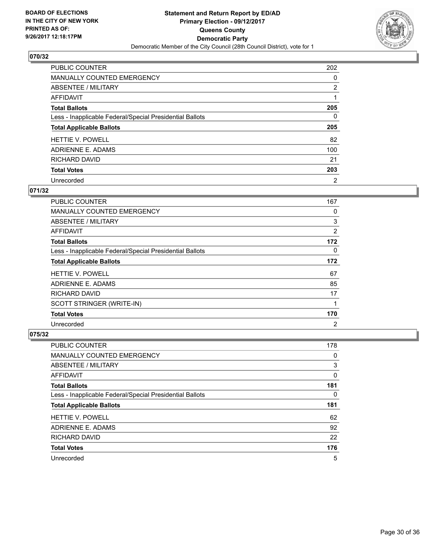

| PUBLIC COUNTER                                           | 202            |
|----------------------------------------------------------|----------------|
| <b>MANUALLY COUNTED EMERGENCY</b>                        | 0              |
| ABSENTEE / MILITARY                                      | $\overline{2}$ |
| AFFIDAVIT                                                |                |
| <b>Total Ballots</b>                                     | 205            |
| Less - Inapplicable Federal/Special Presidential Ballots | 0              |
| <b>Total Applicable Ballots</b>                          | 205            |
| <b>HETTIE V. POWELL</b>                                  | 82             |
| ADRIENNE E. ADAMS                                        | 100            |
| RICHARD DAVID                                            | 21             |
| <b>Total Votes</b>                                       | 203            |
| Unrecorded                                               | $\overline{2}$ |

#### **071/32**

| <b>PUBLIC COUNTER</b>                                    | 167            |
|----------------------------------------------------------|----------------|
| <b>MANUALLY COUNTED EMERGENCY</b>                        | 0              |
| <b>ABSENTEE / MILITARY</b>                               | 3              |
| AFFIDAVIT                                                | 2              |
| <b>Total Ballots</b>                                     | 172            |
| Less - Inapplicable Federal/Special Presidential Ballots | 0              |
| <b>Total Applicable Ballots</b>                          | 172            |
| <b>HETTIE V. POWELL</b>                                  | 67             |
| ADRIENNE E. ADAMS                                        | 85             |
| RICHARD DAVID                                            | 17             |
| SCOTT STRINGER (WRITE-IN)                                |                |
| <b>Total Votes</b>                                       | 170            |
| Unrecorded                                               | $\overline{2}$ |

| <b>PUBLIC COUNTER</b>                                    | 178 |
|----------------------------------------------------------|-----|
| <b>MANUALLY COUNTED EMERGENCY</b>                        | 0   |
| ABSENTEE / MILITARY                                      | 3   |
| AFFIDAVIT                                                | 0   |
| <b>Total Ballots</b>                                     | 181 |
| Less - Inapplicable Federal/Special Presidential Ballots | 0   |
| <b>Total Applicable Ballots</b>                          | 181 |
|                                                          |     |
| <b>HETTIE V. POWELL</b>                                  | 62  |
| ADRIENNE E. ADAMS                                        | 92  |
| RICHARD DAVID                                            | 22  |
| <b>Total Votes</b>                                       | 176 |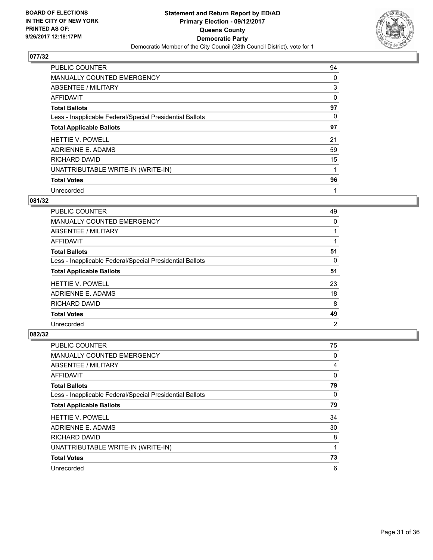

| <b>PUBLIC COUNTER</b>                                    | 94 |
|----------------------------------------------------------|----|
| <b>MANUALLY COUNTED EMERGENCY</b>                        | 0  |
| ABSENTEE / MILITARY                                      | 3  |
| <b>AFFIDAVIT</b>                                         | 0  |
| <b>Total Ballots</b>                                     | 97 |
| Less - Inapplicable Federal/Special Presidential Ballots | 0  |
| <b>Total Applicable Ballots</b>                          | 97 |
| HETTIE V. POWELL                                         | 21 |
| ADRIENNE E. ADAMS                                        | 59 |
| RICHARD DAVID                                            | 15 |
| UNATTRIBUTABLE WRITE-IN (WRITE-IN)                       | 1  |
| <b>Total Votes</b>                                       | 96 |
| Unrecorded                                               | 1  |

#### **081/32**

| <b>PUBLIC COUNTER</b>                                    | 49             |
|----------------------------------------------------------|----------------|
| MANUALLY COUNTED EMERGENCY                               | 0              |
| ABSENTEE / MILITARY                                      |                |
| AFFIDAVIT                                                |                |
| <b>Total Ballots</b>                                     | 51             |
| Less - Inapplicable Federal/Special Presidential Ballots | 0              |
| <b>Total Applicable Ballots</b>                          | 51             |
| <b>HETTIE V. POWELL</b>                                  | 23             |
| ADRIENNE E. ADAMS                                        | 18             |
| RICHARD DAVID                                            | 8              |
| <b>Total Votes</b>                                       | 49             |
| Unrecorded                                               | $\overline{2}$ |

| PUBLIC COUNTER                                           | 75 |
|----------------------------------------------------------|----|
| <b>MANUALLY COUNTED EMERGENCY</b>                        | 0  |
| ABSENTEE / MILITARY                                      | 4  |
| AFFIDAVIT                                                | 0  |
| <b>Total Ballots</b>                                     | 79 |
| Less - Inapplicable Federal/Special Presidential Ballots | 0  |
| <b>Total Applicable Ballots</b>                          | 79 |
| <b>HETTIE V. POWELL</b>                                  | 34 |
| ADRIENNE E. ADAMS                                        | 30 |
| <b>RICHARD DAVID</b>                                     | 8  |
| UNATTRIBUTABLE WRITE-IN (WRITE-IN)                       |    |
| <b>Total Votes</b>                                       | 73 |
| Unrecorded                                               | 6  |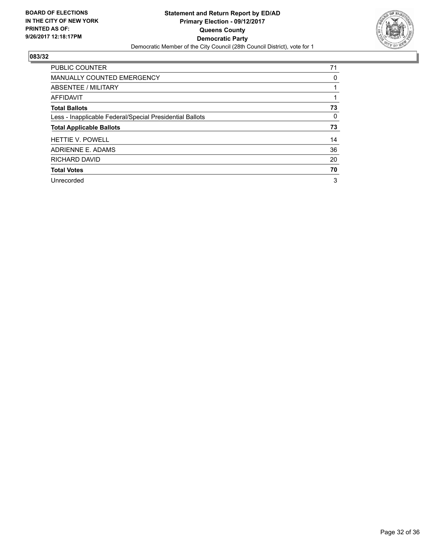

| <b>PUBLIC COUNTER</b>                                    | 71 |
|----------------------------------------------------------|----|
| <b>MANUALLY COUNTED EMERGENCY</b>                        | 0  |
| ABSENTEE / MILITARY                                      |    |
| AFFIDAVIT                                                |    |
| <b>Total Ballots</b>                                     | 73 |
| Less - Inapplicable Federal/Special Presidential Ballots | 0  |
| <b>Total Applicable Ballots</b>                          | 73 |
| <b>HETTIE V. POWELL</b>                                  | 14 |
|                                                          |    |
| ADRIENNE E. ADAMS                                        | 36 |
| RICHARD DAVID                                            | 20 |
| <b>Total Votes</b>                                       | 70 |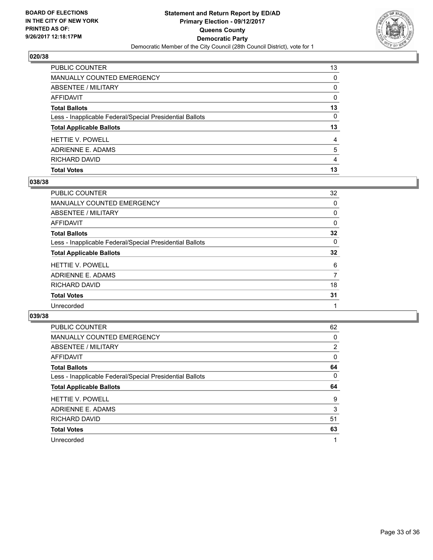

| <b>PUBLIC COUNTER</b>                                    | 13       |
|----------------------------------------------------------|----------|
| <b>MANUALLY COUNTED EMERGENCY</b>                        | 0        |
| <b>ABSENTEE / MILITARY</b>                               | 0        |
| <b>AFFIDAVIT</b>                                         | $\Omega$ |
| <b>Total Ballots</b>                                     | 13       |
| Less - Inapplicable Federal/Special Presidential Ballots | $\Omega$ |
| <b>Total Applicable Ballots</b>                          | 13       |
| <b>HETTIE V. POWELL</b>                                  | 4        |
| ADRIENNE E. ADAMS                                        | 5        |
| RICHARD DAVID                                            | 4        |
| <b>Total Votes</b>                                       | 13       |

## **038/38**

| <b>PUBLIC COUNTER</b>                                    | 32 |
|----------------------------------------------------------|----|
| <b>MANUALLY COUNTED EMERGENCY</b>                        | 0  |
| ABSENTEE / MILITARY                                      | 0  |
| <b>AFFIDAVIT</b>                                         | 0  |
| <b>Total Ballots</b>                                     | 32 |
| Less - Inapplicable Federal/Special Presidential Ballots | 0  |
| <b>Total Applicable Ballots</b>                          | 32 |
| <b>HETTIE V. POWELL</b>                                  | 6  |
| ADRIENNE E. ADAMS                                        | 7  |
| RICHARD DAVID                                            | 18 |
| <b>Total Votes</b>                                       | 31 |
| Unrecorded                                               |    |
|                                                          |    |

| <b>PUBLIC COUNTER</b>                                    | 62 |
|----------------------------------------------------------|----|
| <b>MANUALLY COUNTED EMERGENCY</b>                        | 0  |
| ABSENTEE / MILITARY                                      | 2  |
| <b>AFFIDAVIT</b>                                         | 0  |
| <b>Total Ballots</b>                                     | 64 |
| Less - Inapplicable Federal/Special Presidential Ballots | 0  |
| <b>Total Applicable Ballots</b>                          | 64 |
|                                                          |    |
| <b>HETTIE V. POWELL</b>                                  | 9  |
| ADRIENNE E. ADAMS                                        | 3  |
| RICHARD DAVID                                            | 51 |
| <b>Total Votes</b>                                       | 63 |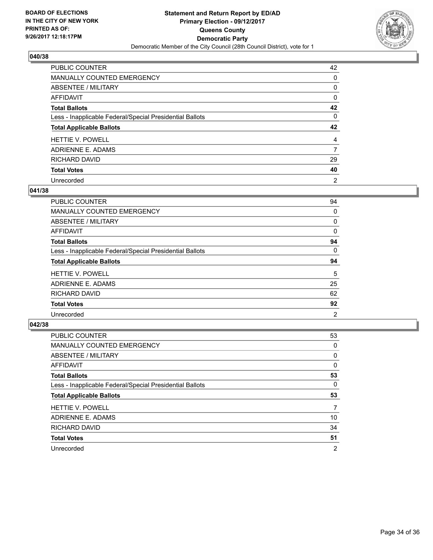

| PUBLIC COUNTER                                           | 42 |
|----------------------------------------------------------|----|
| <b>MANUALLY COUNTED EMERGENCY</b>                        | 0  |
| ABSENTEE / MILITARY                                      | 0  |
| AFFIDAVIT                                                | 0  |
| <b>Total Ballots</b>                                     | 42 |
| Less - Inapplicable Federal/Special Presidential Ballots | 0  |
| <b>Total Applicable Ballots</b>                          | 42 |
| <b>HETTIE V. POWELL</b>                                  | 4  |
| ADRIENNE E. ADAMS                                        | 7  |
|                                                          |    |
| <b>RICHARD DAVID</b>                                     | 29 |
| <b>Total Votes</b>                                       | 40 |

#### **041/38**

| <b>PUBLIC COUNTER</b>                                    | 94             |
|----------------------------------------------------------|----------------|
| MANUALLY COUNTED EMERGENCY                               | 0              |
| ABSENTEE / MILITARY                                      | 0              |
| <b>AFFIDAVIT</b>                                         | 0              |
| <b>Total Ballots</b>                                     | 94             |
| Less - Inapplicable Federal/Special Presidential Ballots | 0              |
| <b>Total Applicable Ballots</b>                          | 94             |
| <b>HETTIE V. POWELL</b>                                  | 5              |
| ADRIENNE E. ADAMS                                        | 25             |
| <b>RICHARD DAVID</b>                                     | 62             |
| <b>Total Votes</b>                                       | 92             |
| Unrecorded                                               | $\overline{2}$ |

| <b>PUBLIC COUNTER</b>                                    | 53 |
|----------------------------------------------------------|----|
| <b>MANUALLY COUNTED EMERGENCY</b>                        | 0  |
| ABSENTEE / MILITARY                                      | 0  |
| AFFIDAVIT                                                | 0  |
| <b>Total Ballots</b>                                     | 53 |
| Less - Inapplicable Federal/Special Presidential Ballots | 0  |
|                                                          |    |
| <b>Total Applicable Ballots</b>                          | 53 |
| <b>HETTIE V. POWELL</b>                                  | 7  |
| ADRIENNE E. ADAMS                                        | 10 |
| RICHARD DAVID                                            | 34 |
| <b>Total Votes</b>                                       | 51 |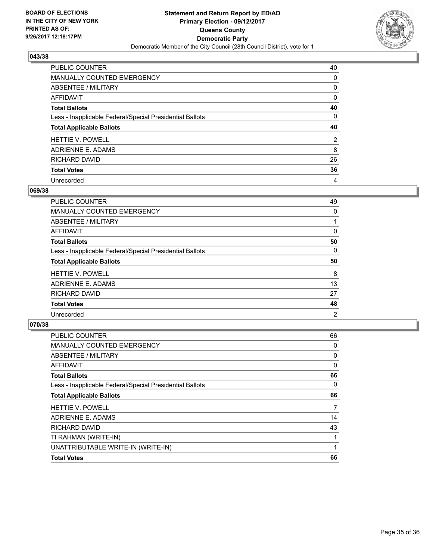

| PUBLIC COUNTER                                           | 40             |
|----------------------------------------------------------|----------------|
| <b>MANUALLY COUNTED EMERGENCY</b>                        | 0              |
| ABSENTEE / MILITARY                                      | 0              |
| AFFIDAVIT                                                | 0              |
| <b>Total Ballots</b>                                     | 40             |
| Less - Inapplicable Federal/Special Presidential Ballots | 0              |
| <b>Total Applicable Ballots</b>                          | 40             |
| <b>HETTIE V. POWELL</b>                                  | $\overline{2}$ |
| ADRIENNE E. ADAMS                                        | 8              |
| <b>RICHARD DAVID</b>                                     | 26             |
|                                                          |                |
| <b>Total Votes</b>                                       | 36             |

#### **069/38**

| <b>PUBLIC COUNTER</b>                                    | 49             |
|----------------------------------------------------------|----------------|
| <b>MANUALLY COUNTED EMERGENCY</b>                        | 0              |
| ABSENTEE / MILITARY                                      |                |
| AFFIDAVIT                                                | 0              |
| <b>Total Ballots</b>                                     | 50             |
| Less - Inapplicable Federal/Special Presidential Ballots | 0              |
| <b>Total Applicable Ballots</b>                          | 50             |
| <b>HETTIE V. POWELL</b>                                  | 8              |
| ADRIENNE E. ADAMS                                        | 13             |
| RICHARD DAVID                                            | 27             |
| <b>Total Votes</b>                                       | 48             |
| Unrecorded                                               | $\overline{2}$ |

| <b>PUBLIC COUNTER</b>                                    | 66 |
|----------------------------------------------------------|----|
| MANUALLY COUNTED EMERGENCY                               | 0  |
| ABSENTEE / MILITARY                                      | 0  |
| AFFIDAVIT                                                | 0  |
| <b>Total Ballots</b>                                     | 66 |
| Less - Inapplicable Federal/Special Presidential Ballots | 0  |
| <b>Total Applicable Ballots</b>                          | 66 |
| <b>HETTIE V. POWELL</b>                                  | 7  |
| ADRIENNE E. ADAMS                                        | 14 |
| <b>RICHARD DAVID</b>                                     | 43 |
| TI RAHMAN (WRITE-IN)                                     |    |
| UNATTRIBUTABLE WRITE-IN (WRITE-IN)                       | 1  |
| <b>Total Votes</b>                                       | 66 |